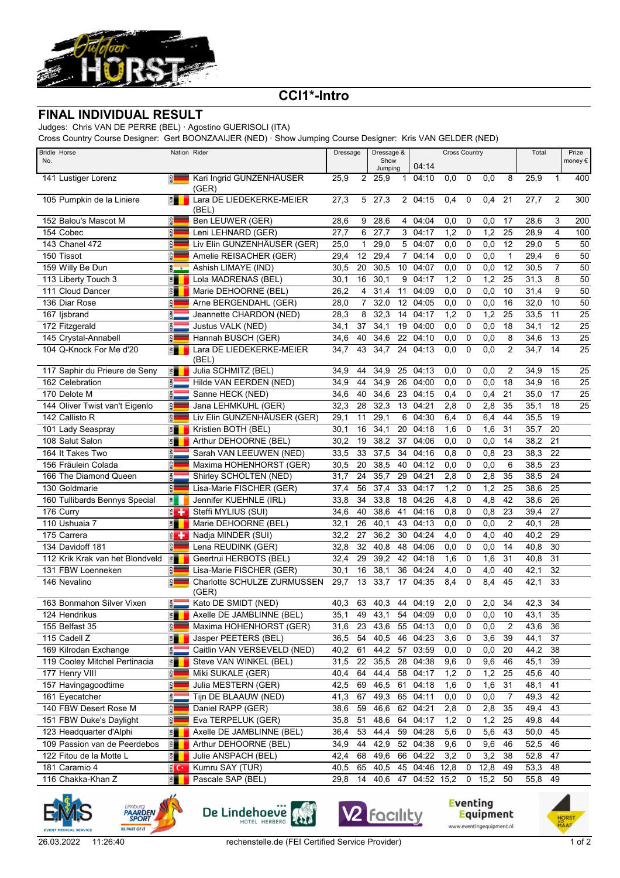

## **CCI1\*-Intro**

## **FINAL INDIVIDUAL RESULT**

Judges: Chris VAN DE PERRE (BEL) · Agostino GUERISOLI (ITA)

Cross Country Course Designer: Gert BOONZAAIJER (NED) · Show Jumping Course Designer: Kris VAN GELDER (NED)

| <b>Bridle Horse</b><br>No.      |                               | Nation Rider                         | Dressage | Dressage &<br>Show<br>Jumping |                   | 04:14          | <b>Cross Country</b> |      |             |      | Total          |         | Prize<br>money $\epsilon$ |                 |
|---------------------------------|-------------------------------|--------------------------------------|----------|-------------------------------|-------------------|----------------|----------------------|------|-------------|------|----------------|---------|---------------------------|-----------------|
| 141 Lustiger Lorenz             | $\frac{1}{2}$                 | Kari Ingrid GUNZENHÄUSER<br>(GER)    | 25,9     | $\overline{2}$                | 25,9              | $\mathbf 1$    | 04:10                | 0.0  | $\mathbf 0$ | 0,0  | 8              | 25,9    | $\mathbf{1}$              | 400             |
| 105 Pumpkin de la Liniere       | 門                             | Lara DE LIEDEKERKE-MEIER<br>(BEL)    | 27,3     | 5                             | $\overline{27,3}$ |                | 2 04:15              | 0,4  | 0           | 0,4  | 21             | 27,7    | 2                         | 300             |
| 152 Balou's Mascot M            | <b>GER</b>                    | Ben LEUWER (GER)                     | 28,6     | 9                             | 28,6              | 4              | 04:04                | 0,0  | 0           | 0,0  | 17             | 28,6    | 3                         | 200             |
| 154 Cobec                       | <b>GER</b>                    | Leni LEHNARD (GER)                   | 27,7     | 6                             | $\overline{27,7}$ | 3              | 04:17                | 1,2  | 0           | 1,2  | 25             | 28,9    | 4                         | 100             |
| 143 Chanel 472                  | <b>GER</b>                    | Liv Elin GUNZENHÄUSER (GER)          | 25,0     | 1                             | 29,0              | 5              | 04:07                | 0,0  | 0           | 0,0  | 12             | 29,0    | 5                         | 50              |
| 150 Tissot                      | GER                           | Amelie REISACHER (GER)               | 29,4     | 12                            | 29,4              | $\overline{7}$ | 04:14                | 0,0  | $\mathbf 0$ | 0,0  | $\mathbf{1}$   | 29,4    | 6                         | 50              |
| 159 Willy Be Dun                | $\overline{5}$ $\overline{0}$ | Ashish LIMAYE (IND)                  | 30,5     | 20                            | 30,5              | 10             | 04:07                | 0,0  | $\mathbf 0$ | 0,0  | 12             | 30,5    | $\overline{7}$            | 50              |
| 113 Liberty Touch 3             | 門                             | Lola MADRENAS (BEL)                  | 30,1     | 16                            | 30,1              | 9              | 04:17                | 1,2  | 0           | 1,2  | 25             | 31,3    | 8                         | 50              |
| 111 Cloud Dancer                | E                             | Marie DEHOORNE (BEL)                 | 26,2     | 4                             | 31,4              | 11             | 04:09                | 0,0  | $\mathbf 0$ | 0,0  | 10             | 31,4    | 9                         | 50              |
| 136 Diar Rose                   | GER                           | Arne BERGENDAHL (GER)                | 28,0     | $\overline{7}$                | 32,0              | 12             | 04:05                | 0,0  | $\mathbf 0$ | 0,0  | 16             | 32,0    | 10                        | 50              |
| 167 ljsbrand                    | <b>SED</b>                    | Jeannette CHARDON (NED)              | 28,3     | 8                             | 32,3              | 14             | 04:17                | 1,2  | $\mathbf 0$ | 1,2  | 25             | 33,5    | 11                        | $\overline{25}$ |
| 172 Fitzgerald                  | $rac{z}{\overline{c}}$        | Justus VALK (NED)                    | 34,1     | 37                            | 34,1              | 19             | 04:00                | 0,0  | 0           | 0,0  | 18             | 34,1    | 12                        | $\overline{25}$ |
| 145 Crystal-Annabell            | GER                           | Hannah BUSCH (GER)                   | 34,6     | 40                            | 34,6              | 22             | 04:10                | 0,0  | $\mathbf 0$ | 0,0  | 8              | 34,6    | 13                        | $\overline{25}$ |
| 104 Q-Knock For Me d'20         | 置                             | Lara DE LIEDEKERKE-MEIER<br>(BEL)    | 34,7     | 43                            | 34,7              | 24             | 04:13                | 0,0  | $\mathbf 0$ | 0,0  | $\overline{2}$ | 34.7    | 14                        | $\overline{25}$ |
| 117 Saphir du Prieure de Seny   | $\mathbb{E}$                  | Julia SCHMITZ (BEL)                  | 34,9     | 44                            | 34,9              | 25             | 04:13                | 0,0  | 0           | 0,0  | 2              | 34,9    | 15                        | 25              |
| 162 Celebration                 | NED                           | Hilde VAN EERDEN (NED)               | 34,9     | 44                            | 34,9              | 26             | 04:00                | 0,0  | 0           | 0,0  | 18             | 34,9    | 16                        | $\overline{25}$ |
| 170 Delote M                    | <b>RED</b>                    | Sanne HECK (NED)                     | 34,6     | 40                            | 34,6              | 23             | 04:15                | 0,4  | 0           | 0,4  | 21             | 35,0    | 17                        | 25              |
| 144 Oliver Twist van't Eigenlo  | $\frac{1}{2}$                 | Jana LEHMKUHL (GER)                  | 32,3     | 28                            | 32,3              | 13             | 04:21                | 2,8  | $\mathbf 0$ | 2,8  | 35             | 35,1    | 18                        | $\overline{25}$ |
| 142 Callisto R                  | <b>GER</b>                    | Liv Elin GUNZENHÄUSER (GER)          | 29,1     | 11                            | 29,1              | 6              | 04:30                | 6,4  | 0           | 6,4  | 44             | 35,5    | 19                        |                 |
| 101 Lady Seaspray               | E                             | Kristien BOTH (BEL)                  | 30,1     | 16                            | 34,1              | 20             | 04:18                | 1,6  | 0           | 1,6  | 31             | 35,7    | 20                        |                 |
| 108 Salut Salon                 | E                             | Arthur DEHOORNE (BEL)                | 30,2     | 19                            | 38,2              | 37             | 04:06                | 0,0  | $\mathbf 0$ | 0,0  | 14             | 38,2    | 21                        |                 |
| 164 It Takes Two                | $rac{z}{\overline{c}}$        | Sarah VAN LEEUWEN (NED)              | 33,5     | 33                            | 37,5              | 34             | 04:16                | 0,8  | $\mathbf 0$ | 0,8  | 23             | 38,3    | 22                        |                 |
| 156 Fräulein Colada             | GER                           | Maxima HOHENHORST (GER)              | 30,5     | 20                            | 38,5              | 40             | 04:12                | 0,0  | $\mathbf 0$ | 0,0  | 6              | 38,5    | 23                        |                 |
| 166 The Diamond Queen           | $\frac{2}{9}$                 | Shirley SCHOLTEN (NED)               | 31,7     | 24                            | 35,7              | 29             | 04:21                | 2,8  | 0           | 2,8  | 35             | 38,5    | 24                        |                 |
| 130 Goldmarie                   | GER                           | Lisa-Marie FISCHER (GER)             | 37,4     | 56                            | 37,4              | 33             | 04:17                | 1,2  | $\mathbf 0$ | 1,2  | 25             | 38,6    | 25                        |                 |
| 160 Tullibards Bennys Special   | $\overline{\mathbf{z}}$       | Jennifer KUEHNLE (IRL)               | 33,8     | 34                            | 33,8              | 18             | 04:26                | 4,8  | $\mathbf 0$ | 4,8  | 42             | 38,6    | 26                        |                 |
| 176 Curry                       | $\epsilon +$                  | Steffi MYLIUS (SUI)                  | 34,6     | 40                            | 38,6              | 41             | 04:16                | 0,8  | $\mathbf 0$ | 0,8  | 23             | 39,4    | 27                        |                 |
| 110 Ushuaia 7                   | 眉                             | Marie DEHOORNE (BEL)                 | 32,1     | 26                            | 40,1              | 43             | 04:13                | 0,0  | $\mathbf 0$ | 0,0  | $\overline{2}$ | 40,1    | 28                        |                 |
| 175 Carrera                     | $\epsilon$                    | Nadja MINDER (SUI)                   | 32,2     | 27                            | 36,2              | 30             | 04:24                | 4,0  | $\mathbf 0$ | 4,0  | 40             | 40,2    | 29                        |                 |
| 134 Davidoff 181                | GER                           | Lena REUDINK (GER)                   | 32,8     | 32                            | 40,8              | 48             | 04:06                | 0,0  | 0           | 0,0  | 14             | 40,8    | 30                        |                 |
| 112 Krik Krak van het Blondveld | 門                             | Geertrui HERBOTS (BEL)               | 32,4     | 29                            | 39,2              | 42             | 04:18                | 1,6  | $\mathbf 0$ | 1,6  | 31             | 40,8    | 31                        |                 |
| 131 FBW Loenneken               | GER                           | Lisa-Marie FISCHER (GER)             | 30,1     | 16                            | 38,1              | 36             | 04:24                | 4,0  | 0           | 4,0  | 40             | 42,1    | 32                        |                 |
| 146 Nevalino                    | GER                           | Charlotte SCHULZE ZURMUSSEN<br>(GER) | 29,7     | 13                            | 33,7              | 17             | 04:35                | 8,4  | $\mathbf 0$ | 8.4  | 45             | 42,1    | 33                        |                 |
| 163 Bonmahon Silver Vixen       | ÃΕD                           | Kato DE SMIDT (NED)                  | 40,3     | 63                            | 40,3              |                | 44 04:19             | 2,0  | 0           | 2,0  | 34             | 42,3    | 34                        |                 |
| 124 Hendrikus                   | 門                             | Axelle DE JAMBLINNE (BEL)            | 35,1     | 49                            | 43,1              |                | 54 04:09             | 0,0  | 0           | 0,0  | 10             | 43,1    | 35                        |                 |
| 155 Belfast 35                  | $\frac{1}{2}$                 | Maxima HOHENHORST (GER)              | 31,6     | 23                            | 43,6              | 55             | 04:13                | 0,0  | 0           | 0,0  | 2              | 43,6    | 36                        |                 |
| 115 Cadell Z                    | F                             | Jasper PEETERS (BEL)                 | 36,5     | 54                            | 40,5              | 46             | 04:23                | 3,6  | 0           | 3,6  | 39             | 44,1    | 37                        |                 |
| 169 Kilrodan Exchange           | NED                           | Caitlin VAN VERSEVELD (NED)          | 40,2     | 61                            | 44,2              | 57             | 03:59                | 0,0  | 0           | 0,0  | 20             | 44,2    | 38                        |                 |
| 119 Cooley Mitchel Pertinacia   | 門                             | Steve VAN WINKEL (BEL)               | 31,5     | 22                            | 35,5              | 28             | 04:38                | 9,6  | 0           | 9,6  | 46             | 45,1    | 39                        |                 |
| 177 Henry VIII                  | $rac{1}{2}$                   | Miki SUKALE (GER)                    | 40,4     | 64                            | 44,4              | 58             | 04:17                | 1,2  | 0           | 1,2  | 25             | 45,6    | 40                        |                 |
| 157 Havingagoodtime             | $rac{1}{2}$                   | Julia MESTERN (GER)                  | 42,5     | 69                            | 46,5              | 61             | 04:18                | 1,6  | 0           | 1,6  | 31             | 48,1    | 41                        |                 |
| 161 Eyecatcher                  | $rac{1}{100}$                 | Tijn DE BLAAUW (NED)                 | 41,3     | 67                            | 49,3              | 65             | 04:11                | 0,0  | 0           | 0,0  | 7              | 49,3    | 42                        |                 |
| 140 FBW Desert Rose M           | $\frac{1}{2}$                 | Daniel RAPP (GER)                    | 38,6     | 59                            | 46,6              | 62             | 04:21                | 2,8  | 0           | 2,8  | 35             | 49,4    | 43                        |                 |
| 151 FBW Duke's Daylight         | <b>GER</b>                    | Eva TERPELUK (GER)                   | 35,8     | 51                            | 48,6              | 64             | 04:17                | 1,2  | 0           | 1,2  | 25             | 49,8    | 44                        |                 |
| 123 Headquarter d'Alphi         | 門                             | Axelle DE JAMBLINNE (BEL)            | 36,4     | 53                            | 44,4              | 59             | 04:28                | 5,6  | 0           | 5,6  | 43             | 50,0    | 45                        |                 |
| 109 Passion van de Peerdebos    | $\frac{1}{2}$                 | Arthur DEHOORNE (BEL)                | 34,9     | 44                            | 42,9              |                | 52 04:38             | 9,6  | 0           | 9,6  | 46             | 52,5    | 46                        |                 |
| 122 Fitou de la Motte L         | $\frac{m}{n}$                 | Julie ANSPACH (BEL)                  | 42,4     | 68                            | 49,6              | 66             | 04:22                | 3,2  | 0           | 3,2  | 38             | 52,8    | 47                        |                 |
| 181 Caramio 4                   | e C*                          | Kumru SAY (TUR)                      | 40,5     | 65                            | 40,5              | 45             | 04:46                | 12,8 | 0           | 12,8 | 49             | 53,3    | 48                        |                 |
| 116 Chakka-Khan Z               | 門                             | Pascale SAP (BEL)                    | 29,8     | 14                            | 40,6              |                | 47 04:52 15,2        |      | 0           | 15,2 | 50             | 55,8 49 |                           |                 |